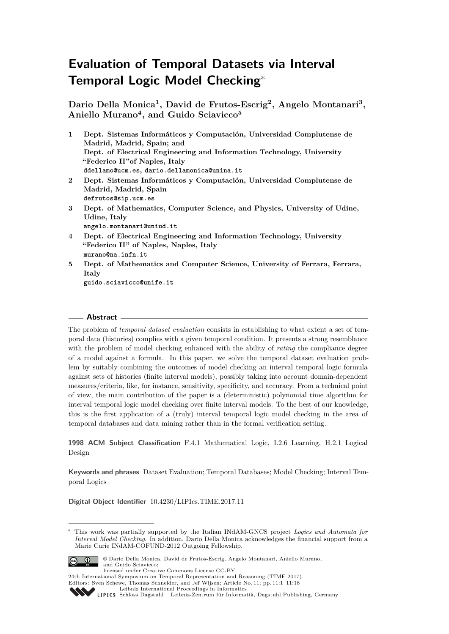# **Evaluation of Temporal Datasets via Interval Temporal Logic Model Checking**<sup>∗</sup>

**Dario Della Monica<sup>1</sup> , David de Frutos-Escrig<sup>2</sup> , Angelo Montanari<sup>3</sup> , Aniello Murano<sup>4</sup> , and Guido Sciavicco<sup>5</sup>**

- **1 Dept. Sistemas Informáticos y Computación, Universidad Complutense de Madrid, Madrid, Spain; and Dept. of Electrical Engineering and Information Technology, University "Federico II"of Naples, Italy ddellamo@ucm.es, dario.dellamonica@unina.it 2 Dept. Sistemas Informáticos y Computación, Universidad Complutense de**
- **Madrid, Madrid, Spain defrutos@sip.ucm.es**
- **3 Dept. of Mathematics, Computer Science, and Physics, University of Udine, Udine, Italy angelo.montanari@uniud.it**
- **4 Dept. of Electrical Engineering and Information Technology, University "Federico II" of Naples, Naples, Italy murano@na.infn.it**
- **5 Dept. of Mathematics and Computer Science, University of Ferrara, Ferrara, Italy guido.sciavicco@unife.it**

## **Abstract**

The problem of *temporal dataset evaluation* consists in establishing to what extent a set of temporal data (histories) complies with a given temporal condition. It presents a strong resemblance with the problem of model checking enhanced with the ability of *rating* the compliance degree of a model against a formula. In this paper, we solve the temporal dataset evaluation problem by suitably combining the outcomes of model checking an interval temporal logic formula against sets of histories (finite interval models), possibly taking into account domain-dependent measures/criteria, like, for instance, sensitivity, specificity, and accuracy. From a technical point of view, the main contribution of the paper is a (deterministic) polynomial time algorithm for interval temporal logic model checking over finite interval models. To the best of our knowledge, this is the first application of a (truly) interval temporal logic model checking in the area of temporal databases and data mining rather than in the formal verification setting.

**1998 ACM Subject Classification** F.4.1 Mathematical Logic, I.2.6 Learning, H.2.1 Logical Design

**Keywords and phrases** Dataset Evaluation; Temporal Databases; Model Checking; Interval Temporal Logics

**Digital Object Identifier** [10.4230/LIPIcs.TIME.2017.11](http://dx.doi.org/10.4230/LIPIcs.TIME.2017.11)

This work was partially supported by the Italian INdAM-GNCS project *Logics and Automata for Interval Model Checking*. In addition, Dario Della Monica acknowledges the financial support from a Marie Curie INdAM-COFUND-2012 Outgoing Fellowship.



© Dario Della Monica, David de Frutos-Escrig, Angelo Montanari, Aniello Murano, and Guido Sciavicco;

licensed under Creative Commons License CC-BY

24th International Symposium on Temporal Representation and Reasoning (TIME 2017). Editors: Sven Schewe, Thomas Schneider, and Jef Wijsen; Article No. 11; pp. 11:1–11[:18](#page-17-0)

[Leibniz International Proceedings in Informatics](http://www.dagstuhl.de/lipics/)

[Schloss Dagstuhl – Leibniz-Zentrum für Informatik, Dagstuhl Publishing, Germany](http://www.dagstuhl.de)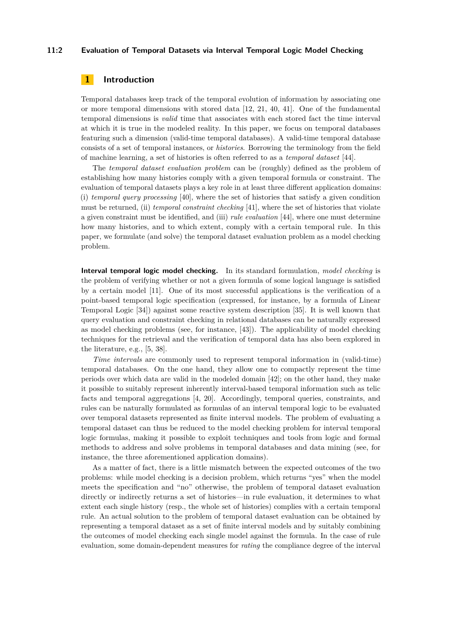## **11:2 Evaluation of Temporal Datasets via Interval Temporal Logic Model Checking**

# **1 Introduction**

Temporal databases keep track of the temporal evolution of information by associating one or more temporal dimensions with stored data [\[12,](#page-15-0) [21,](#page-16-0) [40,](#page-17-1) [41\]](#page-17-2). One of the fundamental temporal dimensions is *valid* time that associates with each stored fact the time interval at which it is true in the modeled reality. In this paper, we focus on temporal databases featuring such a dimension (valid-time temporal databases). A valid-time temporal database consists of a set of temporal instances, or *histories*. Borrowing the terminology from the field of machine learning, a set of histories is often referred to as a *temporal dataset* [\[44\]](#page-17-3).

The *temporal dataset evaluation problem* can be (roughly) defined as the problem of establishing how many histories comply with a given temporal formula or constraint. The evaluation of temporal datasets plays a key role in at least three different application domains: (i) *temporal query processing* [\[40\]](#page-17-1), where the set of histories that satisfy a given condition must be returned, (ii) *temporal constraint checking* [\[41\]](#page-17-2), where the set of histories that violate a given constraint must be identified, and (iii) *rule evaluation* [\[44\]](#page-17-3), where one must determine how many histories, and to which extent, comply with a certain temporal rule. In this paper, we formulate (and solve) the temporal dataset evaluation problem as a model checking problem.

**Interval temporal logic model checking.** In its standard formulation, *model checking* is the problem of verifying whether or not a given formula of some logical language is satisfied by a certain model [\[11\]](#page-15-1). One of its most successful applications is the verification of a point-based temporal logic specification (expressed, for instance, by a formula of Linear Temporal Logic [\[34\]](#page-17-4)) against some reactive system description [\[35\]](#page-17-5). It is well known that query evaluation and constraint checking in relational databases can be naturally expressed as model checking problems (see, for instance, [\[43\]](#page-17-6)). The applicability of model checking techniques for the retrieval and the verification of temporal data has also been explored in the literature, e.g., [\[5,](#page-15-2) [38\]](#page-17-7).

*Time intervals* are commonly used to represent temporal information in (valid-time) temporal databases. On the one hand, they allow one to compactly represent the time periods over which data are valid in the modeled domain [\[42\]](#page-17-8); on the other hand, they make it possible to suitably represent inherently interval-based temporal information such as telic facts and temporal aggregations [\[4,](#page-15-3) [20\]](#page-16-1). Accordingly, temporal queries, constraints, and rules can be naturally formulated as formulas of an interval temporal logic to be evaluated over temporal datasets represented as finite interval models. The problem of evaluating a temporal dataset can thus be reduced to the model checking problem for interval temporal logic formulas, making it possible to exploit techniques and tools from logic and formal methods to address and solve problems in temporal databases and data mining (see, for instance, the three aforementioned application domains).

As a matter of fact, there is a little mismatch between the expected outcomes of the two problems: while model checking is a decision problem, which returns "yes" when the model meets the specification and "no" otherwise, the problem of temporal dataset evaluation directly or indirectly returns a set of histories—in rule evaluation, it determines to what extent each single history (resp., the whole set of histories) complies with a certain temporal rule. An actual solution to the problem of temporal dataset evaluation can be obtained by representing a temporal dataset as a set of finite interval models and by suitably combining the outcomes of model checking each single model against the formula. In the case of rule evaluation, some domain-dependent measures for *rating* the compliance degree of the interval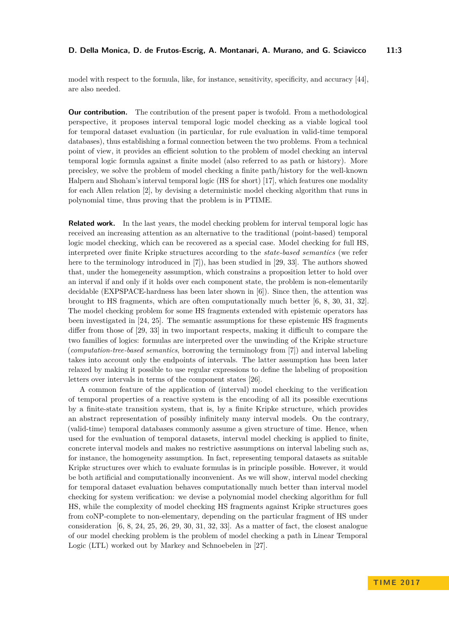model with respect to the formula, like, for instance, sensitivity, specificity, and accuracy [\[44\]](#page-17-3), are also needed.

**Our contribution.** The contribution of the present paper is twofold. From a methodological perspective, it proposes interval temporal logic model checking as a viable logical tool for temporal dataset evaluation (in particular, for rule evaluation in valid-time temporal databases), thus establishing a formal connection between the two problems. From a technical point of view, it provides an efficient solution to the problem of model checking an interval temporal logic formula against a finite model (also referred to as path or history). More precisley, we solve the problem of model checking a finite path/history for the well-known Halpern and Shoham's interval temporal logic (HS for short) [\[17\]](#page-16-2), which features one modality for each Allen relation [\[2\]](#page-15-4), by devising a deterministic model checking algorithm that runs in polynomial time, thus proving that the problem is in PTIME.

**Related work.** In the last years, the model checking problem for interval temporal logic has received an increasing attention as an alternative to the traditional (point-based) temporal logic model checking, which can be recovered as a special case. Model checking for full HS, interpreted over finite Kripke structures according to the *state-based semantics* (we refer here to the terminology introduced in [\[7\]](#page-15-5)), has been studied in [\[29,](#page-16-3) [33\]](#page-16-4). The authors showed that, under the homegeneity assumption, which constrains a proposition letter to hold over an interval if and only if it holds over each component state, the problem is non-elementarily decidable (EXPSPACE-hardness has been later shown in [\[6\]](#page-15-6)). Since then, the attention was brought to HS fragments, which are often computationally much better [\[6,](#page-15-6) [8,](#page-15-7) [30,](#page-16-5) [31,](#page-16-6) [32\]](#page-16-7). The model checking problem for some HS fragments extended with epistemic operators has been investigated in [\[24,](#page-16-8) [25\]](#page-16-9). The semantic assumptions for these epistemic HS fragments differ from those of [\[29,](#page-16-3) [33\]](#page-16-4) in two important respects, making it difficult to compare the two families of logics: formulas are interpreted over the unwinding of the Kripke structure (*computation-tree-based semantics*, borrowing the terminology from [\[7\]](#page-15-5)) and interval labeling takes into account only the endpoints of intervals. The latter assumption has been later relaxed by making it possible to use regular expressions to define the labeling of proposition letters over intervals in terms of the component states [\[26\]](#page-16-10).

A common feature of the application of (interval) model checking to the verification of temporal properties of a reactive system is the encoding of all its possible executions by a finite-state transition system, that is, by a finite Kripke structure, which provides an abstract representation of possibly infinitely many interval models. On the contrary, (valid-time) temporal databases commonly assume a given structure of time. Hence, when used for the evaluation of temporal datasets, interval model checking is applied to finite, concrete interval models and makes no restrictive assumptions on interval labeling such as, for instance, the homogeneity assumption. In fact, representing temporal datasets as suitable Kripke structures over which to evaluate formulas is in principle possible. However, it would be both artificial and computationally inconvenient. As we will show, interval model checking for temporal dataset evaluation behaves computationally much better than interval model checking for system verification: we devise a polynomial model checking algorithm for full HS, while the complexity of model checking HS fragments against Kripke structures goes from coNP-complete to non-elementary, depending on the particular fragment of HS under consideration  $[6, 8, 24, 25, 26, 29, 30, 31, 32, 33]$  $[6, 8, 24, 25, 26, 29, 30, 31, 32, 33]$  $[6, 8, 24, 25, 26, 29, 30, 31, 32, 33]$  $[6, 8, 24, 25, 26, 29, 30, 31, 32, 33]$  $[6, 8, 24, 25, 26, 29, 30, 31, 32, 33]$  $[6, 8, 24, 25, 26, 29, 30, 31, 32, 33]$  $[6, 8, 24, 25, 26, 29, 30, 31, 32, 33]$  $[6, 8, 24, 25, 26, 29, 30, 31, 32, 33]$  $[6, 8, 24, 25, 26, 29, 30, 31, 32, 33]$  $[6, 8, 24, 25, 26, 29, 30, 31, 32, 33]$  $[6, 8, 24, 25, 26, 29, 30, 31, 32, 33]$  $[6, 8, 24, 25, 26, 29, 30, 31, 32, 33]$  $[6, 8, 24, 25, 26, 29, 30, 31, 32, 33]$  $[6, 8, 24, 25, 26, 29, 30, 31, 32, 33]$  $[6, 8, 24, 25, 26, 29, 30, 31, 32, 33]$  $[6, 8, 24, 25, 26, 29, 30, 31, 32, 33]$  $[6, 8, 24, 25, 26, 29, 30, 31, 32, 33]$  $[6, 8, 24, 25, 26, 29, 30, 31, 32, 33]$  $[6, 8, 24, 25, 26, 29, 30, 31, 32, 33]$ . As a matter of fact, the closest analogue of our model checking problem is the problem of model checking a path in Linear Temporal Logic (LTL) worked out by Markey and Schnoebelen in [\[27\]](#page-16-11).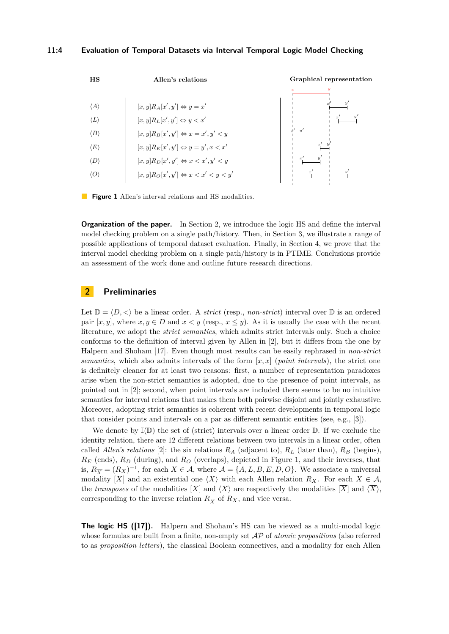<span id="page-3-1"></span>

**Figure 1** Allen's interval relations and HS modalities.

**Organization of the paper.** In Section [2,](#page-3-0) we introduce the logic HS and define the interval model checking problem on a single path/history. Then, in Section [3,](#page-5-0) we illustrate a range of possible applications of temporal dataset evaluation. Finally, in Section [4,](#page-7-0) we prove that the interval model checking problem on a single path/history is in PTIME. Conclusions provide an assessment of the work done and outline future research directions.

# <span id="page-3-0"></span>**2 Preliminaries**

Let  $\mathbb{D} = \langle D, \langle \rangle$  be a linear order. A *strict* (resp., *non-strict*) interval over  $\mathbb{D}$  is an ordered pair  $[x, y]$ , where  $x, y \in D$  and  $x < y$  (resp.,  $x \leq y$ ). As it is usually the case with the recent literature, we adopt the *strict semantics*, which admits strict intervals only. Such a choice conforms to the definition of interval given by Allen in [\[2\]](#page-15-4), but it differs from the one by Halpern and Shoham [\[17\]](#page-16-2). Even though most results can be easily rephrased in *non-strict semantics*, which also admits intervals of the form [*x, x*] (*point intervals*), the strict one is definitely cleaner for at least two reasons: first, a number of representation paradoxes arise when the non-strict semantics is adopted, due to the presence of point intervals, as pointed out in [\[2\]](#page-15-4); second, when point intervals are included there seems to be no intuitive semantics for interval relations that makes them both pairwise disjoint and jointly exhaustive. Moreover, adopting strict semantics is coherent with recent developments in temporal logic that consider points and intervals on a par as different semantic entities (see, e.g., [\[3\]](#page-15-8)).

We denote by  $\mathbb{I}(\mathbb{D})$  the set of (strict) intervals over a linear order  $\mathbb{D}$ . If we exclude the identity relation, there are 12 different relations between two intervals in a linear order, often called *Allen's relations* [\[2\]](#page-15-4): the six relations  $R_A$  (adjacent to),  $R_L$  (later than),  $R_B$  (begins), *R<sup>E</sup>* (ends), *R<sup>D</sup>* (during), and *R<sup>O</sup>* (overlaps), depicted in Figure [1,](#page-3-1) and their inverses, that is,  $R_{\overline{X}} = (R_X)^{-1}$ , for each  $X \in \mathcal{A}$ , where  $\mathcal{A} = \{A, L, B, E, D, O\}$ . We associate a universal modality [*X*] and an existential one  $\langle X \rangle$  with each Allen relation  $R_X$ . For each  $X \in \mathcal{A}$ , the *transposes* of the modalities  $[X]$  and  $\langle X \rangle$  are respectively the modalities  $[\overline{X}]$  and  $\langle \overline{X} \rangle$ , corresponding to the inverse relation  $R_{\overline{X}}$  of  $R_X$ , and vice versa.

**The logic HS ([\[17\]](#page-16-2)).** Halpern and Shoham's HS can be viewed as a multi-modal logic whose formulas are built from a finite, non-empty set AP of *atomic propositions* (also referred to as *proposition letters*), the classical Boolean connectives, and a modality for each Allen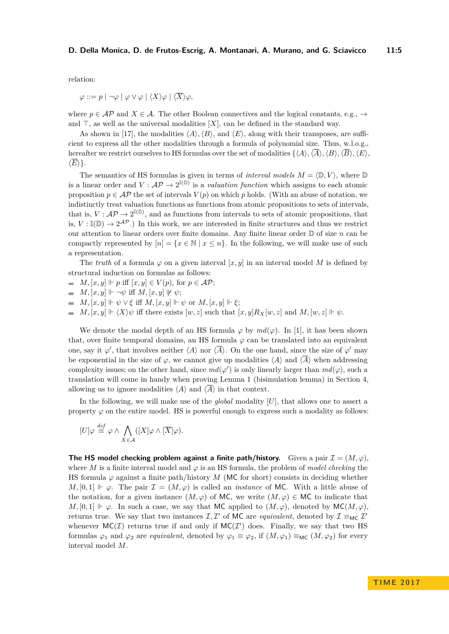relation:

$$
\varphi ::= p \mid \neg \varphi \mid \varphi \vee \varphi \mid \langle X \rangle \varphi \mid \langle X \rangle \varphi,
$$

where  $p \in \mathcal{AP}$  and  $X \in \mathcal{A}$ . The other Boolean connectives and the logical constants, e.g.,  $\rightarrow$ and  $\top$ , as well as the universal modalities  $[X]$ , can be defined in the standard way.

As shown in [\[17\]](#page-16-2), the modalities  $\langle A \rangle$ ,  $\langle B \rangle$ , and  $\langle E \rangle$ , along with their transposes, are sufficient to express all the other modalities through a formula of polynomial size. Thus, w.l.o.g., hereafter we restrict ourselves to HS formulas over the set of modalities  $\{\langle A \rangle, \langle \overline{A} \rangle, \langle B \rangle, \langle \overline{B} \rangle, \langle E \rangle,$  $\langle \overline{E} \rangle$ .

The semantics of HS formulas is given in terms of *interval models*  $M = \langle \mathbb{D}, V \rangle$ , where  $\mathbb{D}$ is a linear order and  $V : \mathcal{AP} \to 2^{\mathbb{I}(D)}$  is a *valuation function* which assigns to each atomic proposition  $p \in \mathcal{AP}$  the set of intervals  $V(p)$  on which p holds. (With an abuse of notation, we indistinctly treat valuation functions as functions from atomic propositions to sets of intervals, that is,  $V: \mathcal{AP} \to 2^{\mathbb{I}(\mathbb{D})}$ , and as functions from intervals to sets of atomic propositions, that is,  $V : \mathbb{I}(\mathbb{D}) \to 2^{\mathcal{AP}}$ .) In this work, we are interested in finite structures and thus we restrict our attention to linear orders over finite domains. Any finite linear order D of size *n* can be compactly represented by  $[n] = \{x \in \mathbb{N} \mid x \leq n\}$ . In the following, we will make use of such a representation.

The *truth* of a formula  $\varphi$  on a given interval [ $x, y$ ] in an interval model M is defined by structural induction on formulas as follows:

- $\blacksquare$  *M,*  $[x, y] \Vdash p$  iff  $[x, y] \in V(p)$ , for  $p \in \mathcal{AP}$ ;
- $\blacksquare$  *M*,  $[x, y] \Vdash \neg \psi$  iff *M*,  $[x, y] \not\Vdash \psi$ ;
- $M$ ,  $[x, y] \Vdash \psi \lor \xi$  iff  $M$ ,  $[x, y] \Vdash \psi$  or  $M$ ,  $[x, y] \Vdash \xi$ ;
- $M$ ,  $[x, y] \Vdash \langle X \rangle \psi$  iff there exists  $[w, z]$  such that  $[x, y]R_X[w, z]$  and  $M$ ,  $[w, z] \Vdash \psi$ .

We denote the modal depth of an HS formula  $\varphi$  by  $md(\varphi)$ . In [\[1\]](#page-15-9), it has been shown that, over finite temporal domains, an HS formula  $\varphi$  can be translated into an equivalent one, say it  $\varphi'$ , that involves neither  $\langle A \rangle$  nor  $\langle \overline{A} \rangle$ . On the one hand, since the size of  $\varphi'$  may be exponential in the size of  $\varphi$ , we cannot give up modalities  $\langle A \rangle$  and  $\langle \overline{A} \rangle$  when addressing complexity issues; on the other hand, since  $md(\varphi')$  is only linearly larger than  $md(\varphi)$ , such a translation will come in handy when proving Lemma [1](#page-9-0) (bisimulation lemma) in Section 4, allowing us to ignore modalities  $\langle A \rangle$  and  $\langle \overline{A} \rangle$  in that context.

In the following, we will make use of the *global* modality [*U*], that allows one to assert a property  $\varphi$  on the entire model. HS is powerful enough to express such a modality as follows:

$$
[U]\varphi \stackrel{def}{\equiv} \varphi \wedge \bigwedge_{X \in \mathcal{A}} ([X]\varphi \wedge [\overline{X}]\varphi).
$$

**The HS model checking problem against a finite path/history.** Given a pair  $\mathcal{I} = (M, \varphi)$ , where *M* is a finite interval model and  $\varphi$  is an HS formula, the problem of *model checking* the HS formula  $\varphi$  against a finite path/history M (MC for short) consists in deciding whether *M*, [0, 1]  $\vdash \varphi$ . The pair  $\mathcal{I} = (M, \varphi)$  is called an *instance* of MC. With a little abuse of the notation, for a given instance  $(M, \varphi)$  of MC, we write  $(M, \varphi) \in MC$  to indicate that *M*, [0, 1]  $\vdash \varphi$ . In such a case, we say that MC applied to  $(M, \varphi)$ , denoted by MC(*M*, $\varphi$ ). returns true. We say that two instances  $\mathcal{I}, \mathcal{I}'$  of MC are *equivalent*, denoted by  $\mathcal{I} \equiv_{MC} \mathcal{I}'$ whenever  $MC(\mathcal{I})$  returns true if and only if  $MC(\mathcal{I}')$  does. Finally, we say that two HS formulas  $\varphi_1$  and  $\varphi_2$  are *equivalent*, denoted by  $\varphi_1 \equiv \varphi_2$ , if  $(M, \varphi_1) \equiv_{MC} (M, \varphi_2)$  for every interval model *M*.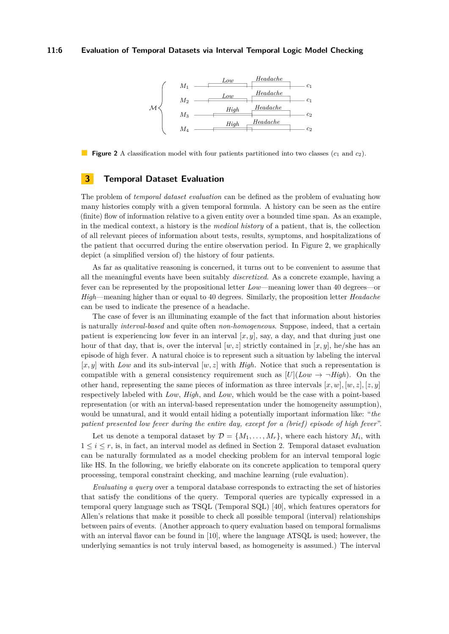## <span id="page-5-1"></span>**11:6 Evaluation of Temporal Datasets via Interval Temporal Logic Model Checking**



**Figure 2** A classification model with four patients partitioned into two classes ( $c_1$  and  $c_2$ ).

## <span id="page-5-0"></span>**3 Temporal Dataset Evaluation**

The problem of *temporal dataset evaluation* can be defined as the problem of evaluating how many histories comply with a given temporal formula. A history can be seen as the entire (finite) flow of information relative to a given entity over a bounded time span. As an example, in the medical context, a history is the *medical history* of a patient, that is, the collection of all relevant pieces of information about tests, results, symptoms, and hospitalizations of the patient that occurred during the entire observation period. In Figure [2,](#page-5-1) we graphically depict (a simplified version of) the history of four patients.

As far as qualitative reasoning is concerned, it turns out to be convenient to assume that all the meaningful events have been suitably *discretized*. As a concrete example, having a fever can be represented by the propositional letter *Low*—meaning lower than 40 degrees—or *High*—meaning higher than or equal to 40 degrees. Similarly, the proposition letter *Headache* can be used to indicate the presence of a headache.

The case of fever is an illuminating example of the fact that information about histories is naturally *interval-based* and quite often *non-homogeneous*. Suppose, indeed, that a certain patient is experiencing low fever in an interval  $[x, y]$ , say, a day, and that during just one hour of that day, that is, over the interval  $[w, z]$  strictly contained in  $[x, y]$ , he/she has an episode of high fever. A natural choice is to represent such a situation by labeling the interval  $[x, y]$  with *Low* and its sub-interval  $[w, z]$  with *High*. Notice that such a representation is compatible with a general consistency requirement such as  $[U](Low \rightarrow \neg High)$ . On the other hand, representing the same pieces of information as three intervals  $[x, w]$ ,  $[w, z]$ ,  $[z, y]$ respectively labeled with *Low*, *High*, and *Low*, which would be the case with a point-based representation (or with an interval-based representation under the homogeneity assumption), would be unnatural, and it would entail hiding a potentially important information like: "*the patient presented low fever during the entire day, except for a (brief) episode of high fever* ".

Let us denote a temporal dataset by  $\mathcal{D} = \{M_1, \ldots, M_r\}$ , where each history  $M_i$ , with  $1 \leq i \leq r$ , is, in fact, an interval model as defined in Section 2. Temporal dataset evaluation can be naturally formulated as a model checking problem for an interval temporal logic like HS. In the following, we briefly elaborate on its concrete application to temporal query processing, temporal constraint checking, and machine learning (rule evaluation).

*Evaluating a query* over a temporal database corresponds to extracting the set of histories that satisfy the conditions of the query. Temporal queries are typically expressed in a temporal query language such as TSQL (Temporal SQL) [\[40\]](#page-17-1), which features operators for Allen's relations that make it possible to check all possible temporal (interval) relationships between pairs of events. (Another approach to query evaluation based on temporal formalisms with an interval flavor can be found in [\[10\]](#page-15-10), where the language ATSQL is used; however, the underlying semantics is not truly interval based, as homogeneity is assumed.) The interval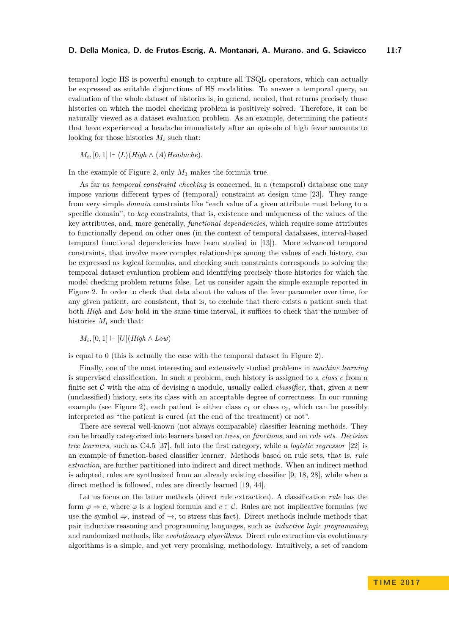temporal logic HS is powerful enough to capture all TSQL operators, which can actually be expressed as suitable disjunctions of HS modalities. To answer a temporal query, an evaluation of the whole dataset of histories is, in general, needed, that returns precisely those histories on which the model checking problem is positively solved. Therefore, it can be naturally viewed as a dataset evaluation problem. As an example, determining the patients that have experienced a headache immediately after an episode of high fever amounts to looking for those histories  $M_i$  such that:

 $M_i$ ,  $[0,1] \Vdash \langle L \rangle$  (*High*  $\wedge \langle A \rangle$ *Headache*).

In the example of Figure [2,](#page-5-1) only *M*<sup>3</sup> makes the formula true.

As far as *temporal constraint checking* is concerned, in a (temporal) database one may impose various different types of (temporal) constraint at design time [\[23\]](#page-16-12). They range from very simple *domain* constraints like "each value of a given attribute must belong to a specific domain", to *key* constraints, that is, existence and uniqueness of the values of the key attributes, and, more generally, *functional dependencies*, which require some attributes to functionally depend on other ones (in the context of temporal databases, interval-based temporal functional dependencies have been studied in [\[13\]](#page-15-11)). More advanced temporal constraints, that involve more complex relationships among the values of each history, can be expressed as logical formulas, and checking such constraints corresponds to solving the temporal dataset evaluation problem and identifying precisely those histories for which the model checking problem returns false. Let us consider again the simple example reported in Figure [2.](#page-5-1) In order to check that data about the values of the fever parameter over time, for any given patient, are consistent, that is, to exclude that there exists a patient such that both *High* and *Low* hold in the same time interval, it suffices to check that the number of histories  $M_i$  such that:

*M*<sup>*i*</sup>,  $[0, 1]$   $\vdash$   $[U]$ (*High* ∧ *Low*)

is equal to 0 (this is actually the case with the temporal dataset in Figure [2\)](#page-5-1).

Finally, one of the most interesting and extensively studied problems in *machine learning* is supervised classification. In such a problem, each history is assigned to a *class c* from a finite set C with the aim of devising a module, usually called *classifier*, that, given a new (unclassified) history, sets its class with an acceptable degree of correctness. In our running example (see Figure [2\)](#page-5-1), each patient is either class  $c_1$  or class  $c_2$ , which can be possibly interpreted as "the patient is cured (at the end of the treatment) or not".

There are several well-known (not always comparable) classifier learning methods. They can be broadly categorized into learners based on *trees*, on *functions*, and on *rule sets*. *Decision tree learners*, such as C4.5 [\[37\]](#page-17-9), fall into the first category, while a *logistic regressor* [\[22\]](#page-16-13) is an example of function-based classifier learner. Methods based on rule sets, that is, *rule extraction*, are further partitioned into indirect and direct methods. When an indirect method is adopted, rules are synthesized from an already existing classifier [\[9,](#page-15-12) [18,](#page-16-14) [28\]](#page-16-15), while when a direct method is followed, rules are directly learned [\[19,](#page-16-16) [44\]](#page-17-3).

Let us focus on the latter methods (direct rule extraction). A classification *rule* has the form  $\varphi \Rightarrow c$ , where  $\varphi$  is a logical formula and  $c \in \mathcal{C}$ . Rules are not implicative formulas (we use the symbol  $\Rightarrow$ , instead of  $\rightarrow$ , to stress this fact). Direct methods include methods that pair inductive reasoning and programming languages, such as *inductive logic programming*, and randomized methods, like *evolutionary algorithms*. Direct rule extraction via evolutionary algorithms is a simple, and yet very promising, methodology. Intuitively, a set of random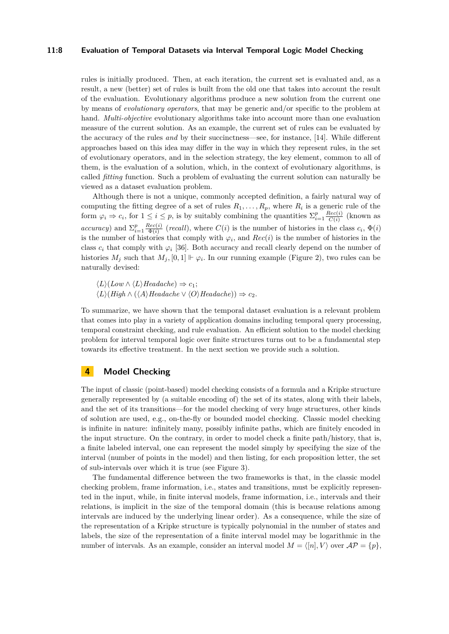## **11:8 Evaluation of Temporal Datasets via Interval Temporal Logic Model Checking**

rules is initially produced. Then, at each iteration, the current set is evaluated and, as a result, a new (better) set of rules is built from the old one that takes into account the result of the evaluation. Evolutionary algorithms produce a new solution from the current one by means of *evolutionary operators*, that may be generic and/or specific to the problem at hand. *Multi-objective* evolutionary algorithms take into account more than one evaluation measure of the current solution. As an example, the current set of rules can be evaluated by the accuracy of the rules *and* by their succinctness—see, for instance, [\[14\]](#page-15-13). While different approaches based on this idea may differ in the way in which they represent rules, in the set of evolutionary operators, and in the selection strategy, the key element, common to all of them, is the evaluation of a solution, which, in the context of evolutionary algorithms, is called *fitting* function. Such a problem of evaluating the current solution can naturally be viewed as a dataset evaluation problem.

Although there is not a unique, commonly accepted definition, a fairly natural way of computing the fitting degree of a set of rules  $R_1, \ldots, R_p$ , where  $R_i$  is a generic rule of the form  $\varphi_i \Rightarrow c_i$ , for  $1 \leq i \leq p$ , is by suitably combining the quantities  $\sum_{i=1}^p \frac{Rec(i)}{C(i)}$  $\frac{rec(i)}{C(i)}$  (known as *accuracy*) and  $\sum_{i=1}^{p} \frac{Rec(i)}{\Phi(i)}$  $\frac{\partial^2 E(c(i))}{\partial \Phi(i)}$  (*recall*), where  $C(i)$  is the number of histories in the class  $c_i$ ,  $\Phi(i)$ is the number of histories that comply with  $\varphi_i$ , and  $Rec(i)$  is the number of histories in the class  $c_i$  that comply with  $\varphi_i$  [\[36\]](#page-17-10). Both accuracy and recall clearly depend on the number of histories  $M_j$  such that  $M_j$ ,  $[0,1] \Vdash \varphi_i$ . In our running example (Figure [2\)](#page-5-1), two rules can be naturally devised:

 $\langle L \rangle$ (*Low*  $\land$   $\langle L \rangle$ *Headache*)  $\Rightarrow$  *c*<sub>1</sub>;  $\langle L \rangle$ (*High* ∧ ( $\langle A \rangle$ *Headache* ∨  $\langle O \rangle$ *Headache*)) ⇒ *c*<sub>2</sub>.

To summarize, we have shown that the temporal dataset evaluation is a relevant problem that comes into play in a variety of application domains including temporal query processing, temporal constraint checking, and rule evaluation. An efficient solution to the model checking problem for interval temporal logic over finite structures turns out to be a fundamental step towards its effective treatment. In the next section we provide such a solution.

## <span id="page-7-0"></span>**4 Model Checking**

The input of classic (point-based) model checking consists of a formula and a Kripke structure generally represented by (a suitable encoding of) the set of its states, along with their labels, and the set of its transitions—for the model checking of very huge structures, other kinds of solution are used, e.g., on-the-fly or bounded model checking. Classic model checking is infinite in nature: infinitely many, possibly infinite paths, which are finitely encoded in the input structure. On the contrary, in order to model check a finite path/history, that is, a finite labeled interval, one can represent the model simply by specifying the size of the interval (number of points in the model) and then listing, for each proposition letter, the set of sub-intervals over which it is true (see Figure [3\)](#page-8-0).

The fundamental difference between the two frameworks is that, in the classic model checking problem, frame information, i.e., states and transitions, must be explicitly represented in the input, while, in finite interval models, frame information, i.e., intervals and their relations, is implicit in the size of the temporal domain (this is because relations among intervals are induced by the underlying linear order). As a consequence, while the size of the representation of a Kripke structure is typically polynomial in the number of states and labels, the size of the representation of a finite interval model may be logarithmic in the number of intervals. As an example, consider an interval model  $M = \{n\}$ , V over  $\mathcal{AP} = \{p\}$ ,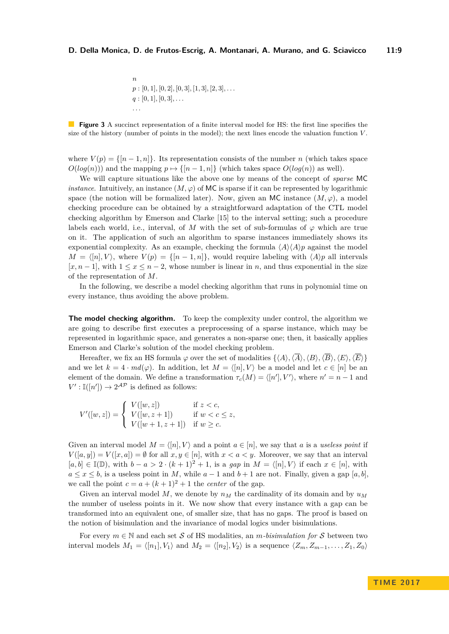n  
\n
$$
p : [0, 1], [0, 2], [0, 3], [1, 3], [2, 3], \ldots
$$
  
\n $q : [0, 1], [0, 3], \ldots$   
\n...

<span id="page-8-0"></span>**Figure 3** A succinct representation of a finite interval model for HS: the first line specifies the size of the history (number of points in the model); the next lines encode the valuation function *V* .

where  $V(p) = \{ [n-1,n] \}$ . Its representation consists of the number *n* (which takes space  $O(log(n))$  and the mapping  $p \mapsto \{[n-1,n]\}$  (which takes space  $O(log(n))$  as well).

We will capture situations like the above one by means of the concept of *sparse* MC *instance*. Intuitively, an instance  $(M, \varphi)$  of MC is sparse if it can be represented by logarithmic space (the notion will be formalized later). Now, given an MC instance  $(M, \varphi)$ , a model checking procedure can be obtained by a straightforward adaptation of the CTL model checking algorithm by Emerson and Clarke [\[15\]](#page-16-17) to the interval setting; such a procedure labels each world, i.e., interval, of *M* with the set of sub-formulas of  $\varphi$  which are true on it. The application of such an algorithm to sparse instances immediately shows its exponential complexity. As an example, checking the formula  $\langle A \rangle \langle A \rangle p$  against the model  $M = \langle [n], V \rangle$ , where  $V(p) = \{ [n-1,n] \}$ , would require labeling with  $\langle A \rangle p$  all intervals  $[x, n-1]$ , with  $1 \leq x \leq n-2$ , whose number is linear in *n*, and thus exponential in the size of the representation of *M*.

In the following, we describe a model checking algorithm that runs in polynomial time on every instance, thus avoiding the above problem.

**The model checking algorithm.** To keep the complexity under control, the algorithm we are going to describe first executes a preprocessing of a sparse instance, which may be represented in logarithmic space, and generates a non-sparse one; then, it basically applies Emerson and Clarke's solution of the model checking problem.

Hereafter, we fix an HS formula  $\varphi$  over the set of modalities  $\{\langle A \rangle, \langle \overline{A} \rangle, \langle B \rangle, \langle \overline{B} \rangle, \langle E \rangle, \langle \overline{E} \rangle\}$ and we let  $k = 4 \cdot md(\varphi)$ . In addition, let  $M = \langle [n], V \rangle$  be a model and let  $c \in [n]$  be an element of the domain. We define a transformation  $\tau_c(M) = \langle [n'], V' \rangle$ , where  $n' = n - 1$  and  $V': \mathbb{I}([n']) \to 2^{\mathcal{AP}}$  is defined as follows:

$$
V'([w, z]) = \begin{cases} V([w, z]) & \text{if } z < c, \\ V([w, z + 1]) & \text{if } w < c \le z, \\ V([w + 1, z + 1]) & \text{if } w \ge c. \end{cases}
$$

Given an interval model  $M = \langle [n], V \rangle$  and a point  $a \in [n]$ , we say that a is a *useless point* if  $V([a, y]) = V([x, a]) = \emptyset$  for all  $x, y \in [n]$ , with  $x < a < y$ . Moreover, we say that an interval [ $a, b$ ] ∈ I( $\mathbb{D}$ ), with  $b - a > 2 \cdot (k + 1)^2 + 1$ , is a *gap* in  $M = \langle [n], V \rangle$  if each  $x \in [n]$ , with  $a \leq x \leq b$ , is a useless point in *M*, while  $a - 1$  and  $b + 1$  are not. Finally, given a gap [a, b], we call the point  $c = a + (k+1)^2 + 1$  the *center* of the gap.

Given an interval model M, we denote by  $n<sub>M</sub>$  the cardinality of its domain and by  $u<sub>M</sub>$ the number of useless points in it. We now show that every instance with a gap can be transformed into an equivalent one, of smaller size, that has no gaps. The proof is based on the notion of bisimulation and the invariance of modal logics under bisimulations.

For every  $m \in \mathbb{N}$  and each set S of HS modalities, an *m*-bisimulation for S between two interval models  $M_1 = \langle [n_1], V_1 \rangle$  and  $M_2 = \langle [n_2], V_2 \rangle$  is a sequence  $\langle Z_m, Z_{m-1}, \ldots, Z_1, Z_0 \rangle$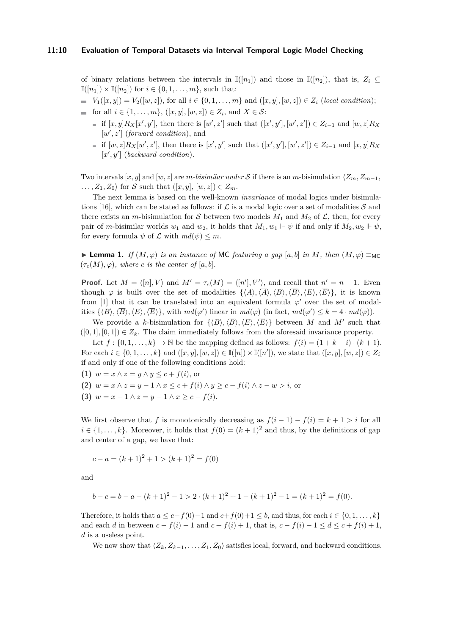of binary relations between the intervals in  $\mathbb{I}([n_1])$  and those in  $\mathbb{I}([n_2])$ , that is,  $Z_i \subseteq$  $\mathbb{I}([n_1]) \times \mathbb{I}([n_2])$  for  $i \in \{0, 1, \ldots, m\}$ , such that:

 $V_1([x, y]) = V_2([w, z])$ , for all  $i \in \{0, 1, ..., m\}$  and  $([x, y], [w, z]) \in Z_i$  (*local condition*);

- for all  $i \in \{1, ..., m\}$ ,  $([x, y], [w, z]) \in Z_i$ , and  $X \in S$ :
	- if  $[x, y]R_X[x', y']$ , then there is  $[w', z']$  such that  $([x', y'], [w', z']) \in Z_{i-1}$  and  $[w, z]R_X$  $[w', z']$  (*forward condition*), and
	- if  $[w, z]R_X[w', z']$ , then there is  $[x', y']$  such that  $([x', y'], [w', z']) \in Z_{i-1}$  and  $[x, y]R_X$  $[x', y']$  (*backward condition*).

Two intervals  $[x, y]$  and  $[w, z]$  are *m-bisimilar under* S if there is an *m*-bisimulation  $\langle Z_m, Z_{m-1}, \rangle$  $\ldots$ ,  $Z_1, Z_0$  for S such that  $([x, y], [w, z]) \in Z_m$ .

The next lemma is based on the well-known *invariance* of modal logics under bisimula-tions [\[16\]](#page-16-18), which can be stated as follows: if  $\mathcal L$  is a modal logic over a set of modalities  $\mathcal S$  and there exists an *m*-bisimulation for S between two models  $M_1$  and  $M_2$  of  $\mathcal{L}$ , then, for every pair of *m*-bisimilar worlds  $w_1$  and  $w_2$ , it holds that  $M_1, w_1 \Vdash \psi$  if and only if  $M_2, w_2 \Vdash \psi$ , for every formula  $\psi$  of  $\mathcal L$  with  $md(\psi) \leq m$ .

<span id="page-9-0"></span>**► Lemma 1.** *If*  $(M, \varphi)$  *is an instance of* MC *featuring a gap* [a, b] *in M*, *then*  $(M, \varphi) \equiv_{MC}$  $(\tau_c(M), \varphi)$ *, where c is the center of* [*a, b*].

**Proof.** Let  $M = \langle [n], V \rangle$  and  $M' = \tau_c(M) = \langle [n'], V' \rangle$ , and recall that  $n' = n - 1$ . Even though  $\varphi$  is built over the set of modalities  $\{\langle A \rangle, \langle \overline{A} \rangle, \langle B \rangle, \langle \overline{B} \rangle, \langle E \rangle, \langle \overline{E} \rangle\}$ , it is known from [\[1\]](#page-15-9) that it can be translated into an equivalent formula  $\varphi'$  over the set of modalities  $\{\langle B \rangle, \langle \overline{B} \rangle, \langle E \rangle, \langle \overline{E} \rangle\}$ , with  $md(\varphi')$  linear in  $md(\varphi)$  (in fact,  $md(\varphi') \leq k = 4 \cdot md(\varphi)$ ).

We provide a *k*-bisimulation for  $\{\langle B \rangle, \langle \overline{B} \rangle, \langle E \rangle, \langle \overline{E} \rangle\}$  between *M* and *M'* such that  $([0,1], [0,1]) \in Z_k$ . The claim immediately follows from the aforesaid invariance property.

Let  $f : \{0, 1, \ldots, k\} \to \mathbb{N}$  be the mapping defined as follows:  $f(i) = (1 + k - i) \cdot (k + 1)$ . For each  $i \in \{0, 1, \ldots, k\}$  and  $([x, y], [w, z]) \in \mathbb{I}([n]) \times \mathbb{I}([n'])$ , we state that  $([x, y], [w, z]) \in Z_i$ if and only if one of the following conditions hold:

**(1)**  $w = x \land z = y \land y \leq c + f(i)$ , or

**(2)**  $w = x \land z = y - 1 \land x \leq c + f(i) \land y \geq c - f(i) \land z - w > i$ , or

**(3)**  $w = x - 1 \land z = y - 1 \land x \geq c - f(i).$ 

We first observe that *f* is monotonically decreasing as  $f(i-1) - f(i) = k + 1 > i$  for all  $i \in \{1, \ldots, k\}$ . Moreover, it holds that  $f(0) = (k+1)^2$  and thus, by the definitions of gap and center of a gap, we have that:

$$
c - a = (k+1)^2 + 1 > (k+1)^2 = f(0)
$$

and

$$
b - c = b - a - (k+1)^2 - 1 > 2 \cdot (k+1)^2 + 1 - (k+1)^2 - 1 = (k+1)^2 = f(0).
$$

Therefore, it holds that  $a \leq c - f(0) - 1$  and  $c + f(0) + 1 \leq b$ , and thus, for each  $i \in \{0, 1, \ldots, k\}$ and each *d* in between  $c - f(i) - 1$  and  $c + f(i) + 1$ , that is,  $c - f(i) - 1 \le d \le c + f(i) + 1$ , *d* is a useless point.

We now show that  $\langle Z_k, Z_{k-1}, \ldots, Z_1, Z_0 \rangle$  satisfies local, forward, and backward conditions.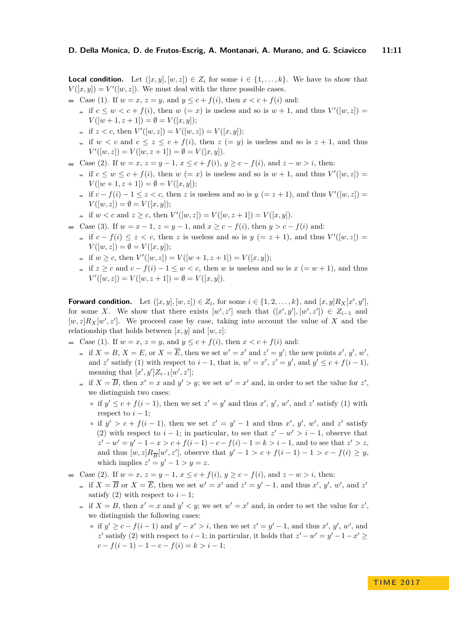**Local condition.** Let  $([x, y], [w, z]) \in Z_i$  for some  $i \in \{1, \ldots, k\}$ . We have to show that  $V([x, y]) = V'([w, z])$ . We must deal with the three possible cases.

- Gase (1). If  $w = x$ ,  $z = y$ , and  $y \leq c + f(i)$ , then  $x < c + f(i)$  and:
	- if  $c \leq w < c + f(i)$ , then  $w (= x)$  is useless and so is  $w + 1$ , and thus  $V'([w, z]) =$  $V([w+1, z+1]) = \emptyset = V([x, y]);$
	- if  $z < c$ , then  $V'([w, z]) = V([w, z]) = V([x, y])$ ;
	- if  $w < c$  and  $c \le z \le c + f(i)$ , then  $z (= y)$  is useless and so is  $z + 1$ , and thus  $V'([w, z]) = V([w, z + 1]) = \emptyset = V([x, y]).$
- Case (2). If  $w = x$ ,  $z = y 1$ ,  $x \le c + f(i)$ ,  $y \ge c f(i)$ , and  $z w > i$ , then:
	- if  $c \leq w \leq c + f(i)$ , then  $w (= x)$  is useless and so is  $w + 1$ , and thus  $V'([w, z]) =$  $V([w+1, z+1]) = \emptyset = V([x, y]);$
	- if  $c f(i) 1 \le z < c$ , then *z* is useless and so is  $y (= z + 1)$ , and thus  $V'([w, z]) =$  $V([w, z]) = \emptyset = V([x, y]);$
	- if  $w < c$  and  $z \geq c$ , then  $V'([w, z]) = V([w, z + 1]) = V([x, y]).$
- Case (3). If  $w = x 1$ ,  $z = y 1$ , and  $x \ge c f(i)$ , then  $y > c f(i)$  and:
	- if  $c f(i) \le z < c$ , then *z* is useless and so is  $y (= z + 1)$ , and thus  $V'([w, z]) =$  $V([w, z]) = \emptyset = V([x, y]);$
	- if  $w \ge c$ , then  $V'([w, z]) = V([w + 1, z + 1]) = V([x, y])$ ;
	- $\equiv$  if  $z > c$  and  $c f(i) 1 \leq w \leq c$ , then *w* is useless and so is *x* (= *w* + 1), and thus  $V'([w, z]) = V([w, z + 1]) = \emptyset = V([x, y]).$

**Forward condition.** Let  $([x, y], [w, z]) \in Z_i$ , for some  $i \in \{1, 2, \ldots, k\}$ , and  $[x, y]R_X[x', y']$ , for some *X*. We show that there exists  $[w', z']$  such that  $([x', y'], [w', z']) \in Z_{i-1}$  and  $[w, z]R_X[w', z']$ . We proceed case by case, taking into account the value of *X* and the relationship that holds between  $[x, y]$  and  $[w, z]$ :

Gase (1). If  $w = x$ ,  $z = y$ , and  $y \leq c + f(i)$ , then  $x < c + f(i)$  and:

- if  $X = B$ ,  $X = E$ , or  $X = \overline{E}$ , then we set  $w' = x'$  and  $z' = y'$ ; the new points  $x', y', w'$ , and *z*' satisfy (1) with respect to  $i - 1$ , that is,  $w' = x'$ ,  $z' = y'$ , and  $y' \leq c + f(i - 1)$ , meaning that  $[x', y']Z_{i-1}[w', z']$ ;
- if  $X = \overline{B}$ , then  $x' = x$  and  $y' > y$ ; we set  $w' = x'$  and, in order to set the value for  $z'$ , we distinguish two cases:
	- **∗** if  $y' \text{ ≤ } c + f(i-1)$ , then we set  $z' = y'$  and thus  $x', y', w'$ , and  $z'$  satisfy (1) with respect to  $i - 1$ ;
	- **\*** if  $y' > c + f(i 1)$ , then we set  $z' = y' 1$  and thus x', y', w', and z' satisfy (2) with respect to  $i - 1$ ; in particular, to see that  $z' - w' > i - 1$ , observe that  $z'-w' = y'-1-x > c + f(i-1) - c - f(i) - 1 = k > i-1$ , and to see that  $z' > z$ , and thus  $[w, z]R_{\overline{B}}[w', z']$ , observe that  $y' - 1 > c + f(i - 1) - 1 > c - f(i) \ge y$ , which implies  $z' = y' - 1 > y = z$ .
- Case (2). If  $w = x, z = y 1, x ≤ c + f(i), y ≥ c f(i),$  and  $z w > i$ , then:
	- if  $X = \overline{B}$  or  $X = \overline{E}$ , then we set  $w' = x'$  and  $z' = y' 1$ , and thus  $x'$ ,  $y'$ ,  $w'$ , and  $z'$ satisfy  $(2)$  with respect to  $i - 1$ ;
	- if  $X = B$ , then  $x' = x$  and  $y' < y$ ; we set  $w' = x'$  and, in order to set the value for  $z'$ , we distinguish the following cases:
		- **∗** if  $y' \ge c f(i-1)$  and  $y' x' > i$ , then we set  $z' = y' 1$ , and thus  $x', y', w'$ , and *z*' satisfy (2) with respect to *i* − 1; in particular, it holds that  $z' - w' = y' - 1 - x' \ge$  $c - f(i-1) - 1 - c - f(i) = k > i - 1;$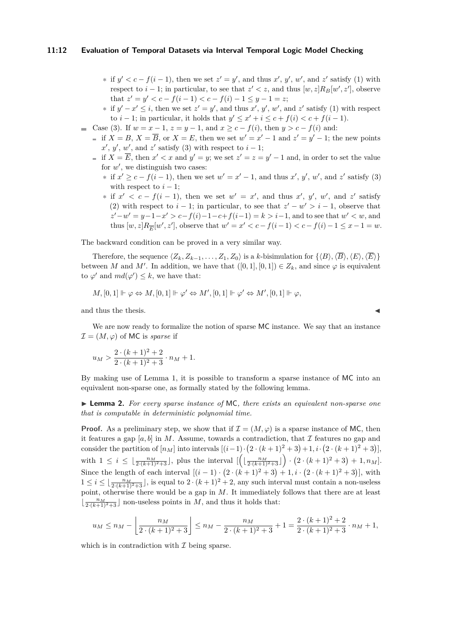## **11:12 Evaluation of Temporal Datasets via Interval Temporal Logic Model Checking**

- **\*** if  $y' < c f(i-1)$ , then we set  $z' = y'$ , and thus  $x', y', w'$ , and  $z'$  satisfy (1) with respect to  $i - 1$ ; in particular, to see that  $z' < z$ , and thus  $[w, z]R_B[w', z']$ , observe that  $z' = y' < c - f(i - 1) < c - f(i) - 1 \leq y - 1 = z$ ;
- **∗** if  $y' x' \le i$ , then we set  $z' = y'$ , and thus  $x'$ ,  $y'$ ,  $w'$ , and  $z'$  satisfy (1) with respect to *i* − 1; in particular, it holds that  $y' \leq x' + i \leq c + f(i) < c + f(i - 1)$ .
- Case (3). If  $w = x 1$ ,  $z = y 1$ , and  $x > c f(i)$ , then  $y > c f(i)$  and:
	- if  $X = B$ ,  $X = \overline{B}$ , or  $X = E$ , then we set  $w' = x' 1$  and  $z' = y' 1$ ; the new points  $x', y', w'$ , and  $z'$  satisfy (3) with respect to  $i - 1$ ;
	- if  $X = \overline{E}$ , then  $x' < x$  and  $y' = y$ ; we set  $z' = z = y' 1$  and, in order to set the value for  $w'$ , we distinguish two cases:
		- **∗** if  $x' \ge c f(i-1)$ , then we set  $w' = x' 1$ , and thus  $x', y', w'$ , and  $z'$  satisfy (3) with respect to  $i - 1$ ;
		- $*$  if  $x' < c f(i 1)$ , then we set  $w' = x'$ , and thus  $x'$ ,  $y'$ ,  $w'$ , and  $z'$  satisfy (2) with respect to  $i - 1$ ; in particular, to see that  $z' - w' > i - 1$ , observe that  $z'-w' = y-1-x' > c-f(i)-1-c+f(i-1) = k > i-1$ , and to see that  $w' < w$ , and thus  $[w, z]R_{\overline{E}}[w', z']$ , observe that  $w' = x' < c - f(i-1) < c - f(i) - 1 \le x - 1 = w$ .

The backward condition can be proved in a very similar way.

Therefore, the sequence  $\langle Z_k, Z_{k-1}, \ldots, Z_1, Z_0 \rangle$  is a *k*-bisimulation for  $\{ \langle B \rangle, \langle \overline{B} \rangle, \langle E \rangle, \langle \overline{E} \rangle \}$ between *M* and *M'*. In addition, we have that  $([0,1],[0,1]) \in Z_k$ , and since  $\varphi$  is equivalent to  $\varphi'$  and  $md(\varphi') \leq k$ , we have that:

$$
M, [0,1] \Vdash \varphi \Leftrightarrow M, [0,1] \Vdash \varphi' \Leftrightarrow M', [0,1] \Vdash \varphi' \Leftrightarrow M', [0,1] \Vdash \varphi,
$$

and thus the thesis.

We are now ready to formalize the notion of sparse MC instance. We say that an instance  $\mathcal{I} = (M, \varphi)$  of MC is *sparse* if

$$
u_M > \frac{2 \cdot (k+1)^2 + 2}{2 \cdot (k+1)^2 + 3} \cdot n_M + 1.
$$

By making use of Lemma [1,](#page-9-0) it is possible to transform a sparse instance of MC into an equivalent non-sparse one, as formally stated by the following lemma.

I **Lemma 2.** *For every sparse instance of* MC*, there exists an equivalent non-sparse one that is computable in deterministic polynomial time.*

**Proof.** As a preliminary step, we show that if  $\mathcal{I} = (M, \varphi)$  is a sparse instance of MC, then it features a gap  $[a, b]$  in *M*. Assume, towards a contradiction, that *I* features no gap and consider the partition of  $[n_M]$  into intervals  $[(i-1)\cdot(2\cdot(k+1)^2+3)+1,i\cdot(2\cdot(k+1)^2+3)]$ , with  $1 \leq i \leq \lfloor \frac{n_M}{2\cdot (k+1)^2+3} \rfloor$ , plus the interval  $\left[ \left( \lfloor \frac{n_M}{2\cdot (k+1)^2+3} \rfloor \right) \cdot (2\cdot (k+1)^2+3) + 1, n_M \right]$ . Since the length of each interval  $[(i-1) \cdot (2 \cdot (k+1)^2 + 3) + 1, i \cdot (2 \cdot (k+1)^2 + 3)]$ , with  $1 \leq i \leq \lfloor \frac{n_M}{2(k+1)^2+3} \rfloor$ , is equal to  $2 \cdot (k+1)^2 + 2$ , any such interval must contain a non-useless point, otherwise there would be a gap in *M*. It immediately follows that there are at least  $\lfloor \frac{n_M}{2\cdot (k+1)^2+3} \rfloor$  non-useless points in *M*, and thus it holds that:

$$
u_M \le n_M - \left\lfloor \frac{n_M}{2 \cdot (k+1)^2 + 3} \right\rfloor \le n_M - \frac{n_M}{2 \cdot (k+1)^2 + 3} + 1 = \frac{2 \cdot (k+1)^2 + 2}{2 \cdot (k+1)^2 + 3} \cdot n_M + 1,
$$

which is in contradiction with  $\mathcal I$  being sparse.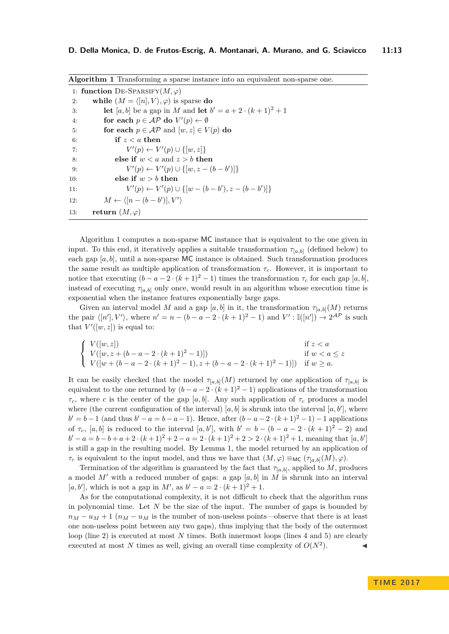<span id="page-12-0"></span>

| <b>Algorithm 1</b> Transforming a sparse instance into an equivalent non-sparse one. |                                                                                 |  |
|--------------------------------------------------------------------------------------|---------------------------------------------------------------------------------|--|
|                                                                                      | 1: function DE-SPARSIFY $(M, \varphi)$                                          |  |
| 2:                                                                                   | while $(M = \langle [n], V \rangle, \varphi)$ is sparse do                      |  |
| 3:                                                                                   | <b>let</b> [a, b] be a gap in M and <b>let</b> $b' = a + 2 \cdot (k + 1)^2 + 1$ |  |
| 4:                                                                                   | for each $p \in \mathcal{AP}$ do $V'(p) \leftarrow \emptyset$                   |  |
| 5:                                                                                   | for each $p \in \mathcal{AP}$ and $[w, z] \in V(p)$ do                          |  |
| 6:                                                                                   | if $z < a$ then                                                                 |  |
| 7:                                                                                   | $V'(p) \leftarrow V'(p) \cup \{[w,z]\}$                                         |  |
| 8:                                                                                   | else if $w < a$ and $z > b$ then                                                |  |
| 9:                                                                                   | $V'(p) \leftarrow V'(p) \cup \{ [w, z - (b - b')] \}$                           |  |
| 10:                                                                                  | else if $w > b$ then                                                            |  |
| 11:                                                                                  | $V'(p) \leftarrow V'(p) \cup \{ [w - (b - b'), z - (b - b')] \}$                |  |
| 12:                                                                                  | $M \leftarrow \langle [n-(b-b')], V' \rangle$                                   |  |
| 13:                                                                                  | return $(M, \varphi)$                                                           |  |

Algorithm [1](#page-12-0) computes a non-sparse MC instance that is equivalent to the one given in input. To this end, it iteratively applies a suitable transformation  $\tau_{[a,b]}$  (defined below) to each gap [*a, b*], until a non-sparse MC instance is obtained. Such transformation produces the same result as multiple application of transformation *τc*. However, it is important to notice that executing  $(b - a - 2 \cdot (k + 1)^2 - 1)$  times the transformation  $\tau_c$  for each gap [*a, b*], instead of executing  $\tau_{[a,b]}$  only once, would result in an algorithm whose execution time is exponential when the instance features exponentially large gaps.

Given an interval model *M* and a gap [*a, b*] in it, the transformation  $\tau_{[a,b]}(M)$  returns the pair  $\langle [n'], V' \rangle$ , where  $n' = n - (b - a - 2 \cdot (k + 1)^2 - 1)$  and  $V' : \mathbb{I}([n']) \to 2^{\mathcal{AP}}$  is such that  $V'([w, z])$  is equal to:

$$
\begin{cases}\nV([w,z]) & \text{if } z < a \\
V([w,z+(b-a-2\cdot (k+1)^2-1)]) & \text{if } w < a \leq z \\
V([w+(b-a-2\cdot (k+1)^2-1), z+(b-a-2\cdot (k+1)^2-1)]) & \text{if } w \geq a.\n\end{cases}
$$

It can be easily checked that the model  $\tau_{[a,b]}(M)$  returned by one application of  $\tau_{[a,b]}$  is equivalent to the one returned by  $(b - a - 2 \cdot (k + 1)^2 - 1)$  applications of the transformation *τ*<sub>*c*</sub>, where *c* is the center of the gap [*a, b*]. Any such application of *τ*<sub>*c*</sub> produces a model where (the current configuration of the interval)  $[a, b]$  is shrunk into the interval  $[a, b']$ , where  $b' = b - 1$  (and thus  $b' - a = b - a - 1$ ). Hence, after  $(b - a - 2 \cdot (k + 1)^2 - 1) - 1$  applications of  $\tau_c$ ,  $[a, b]$  is reduced to the interval  $[a, b']$ , with  $b' = b - (b - a - 2 \cdot (k + 1)^2 - 2)$  and  $b' - a = b - b + a + 2 \cdot (k+1)^2 + 2 - a = 2 \cdot (k+1)^2 + 2 > 2 \cdot (k+1)^2 + 1$ , meaning that [*a*, *b*<sup>'</sup>] is still a gap in the resulting model. By Lemma [1,](#page-9-0) the model returned by an application of *τ*<sub>*c*</sub> is equivalent to the input model, and thus we have that  $(M, φ) \equiv_{MC} (\tau_{[a, b]}(M), φ)$ .

Termination of the algorithm is guaranteed by the fact that  $\tau_{[a,b]}$ , applied to *M*, produces a model M' with a reduced number of gaps: a gap  $[a, b]$  in M is shrunk into an interval  $[a, b']$ , which is not a gap in *M'*, as  $b' - a = 2 \cdot (k+1)^2 + 1$ .

As for the computational complexity, it is not difficult to check that the algorithm runs in polynomial time. Let *N* be the size of the input. The number of gaps is bounded by  $n_M - u_M + 1$  ( $n_M - u_M$  is the number of non-useless points—observe that there is at least one non-useless point between any two gaps), thus implying that the body of the outermost loop (line 2) is executed at most *N* times. Both innermost loops (lines 4 and 5) are clearly executed at most *N* times as well, giving an overall time complexity of  $O(N^2)$ .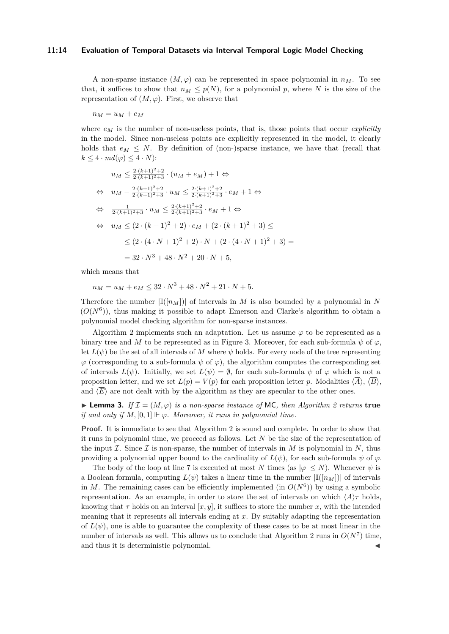#### **11:14 Evaluation of Temporal Datasets via Interval Temporal Logic Model Checking**

A non-sparse instance  $(M, \varphi)$  can be represented in space polynomial in  $n_M$ . To see that, it suffices to show that  $n_M \leq p(N)$ , for a polynomial p, where N is the size of the representation of  $(M, \varphi)$ . First, we observe that

 $n_M = u_M + e_M$ 

where  $e_M$  is the number of non-useless points, that is, those points that occur *explicitly* in the model. Since non-useless points are explicitly represented in the model, it clearly holds that  $e_M \leq N$ . By definition of (non-)sparse instance, we have that (recall that  $k \leq 4 \cdot md(\varphi) \leq 4 \cdot N$ :

$$
u_M \leq \frac{2 \cdot (k+1)^2 + 2}{2 \cdot (k+1)^2 + 3} \cdot (u_M + e_M) + 1 \Leftrightarrow
$$
  
\n
$$
\Leftrightarrow u_M - \frac{2 \cdot (k+1)^2 + 2}{2 \cdot (k+1)^2 + 3} \cdot u_M \leq \frac{2 \cdot (k+1)^2 + 2}{2 \cdot (k+1)^2 + 3} \cdot e_M + 1 \Leftrightarrow
$$
  
\n
$$
\Leftrightarrow \frac{1}{2 \cdot (k+1)^2 + 3} \cdot u_M \leq \frac{2 \cdot (k+1)^2 + 2}{2 \cdot (k+1)^2 + 3} \cdot e_M + 1 \Leftrightarrow
$$
  
\n
$$
\Leftrightarrow u_M \leq (2 \cdot (k+1)^2 + 2) \cdot e_M + (2 \cdot (k+1)^2 + 3) \leq
$$
  
\n
$$
\leq (2 \cdot (4 \cdot N + 1)^2 + 2) \cdot N + (2 \cdot (4 \cdot N + 1)^2 + 3) =
$$
  
\n
$$
= 32 \cdot N^3 + 48 \cdot N^2 + 20 \cdot N + 5,
$$

which means that

 $n_M = u_M + e_M \leq 32 \cdot N^3 + 48 \cdot N^2 + 21 \cdot N + 5.$ 

Therefore the number  $|I([n_M])|$  of intervals in *M* is also bounded by a polynomial in *N*  $(O(N^6))$ , thus making it possible to adapt Emerson and Clarke's algorithm to obtain a polynomial model checking algorithm for non-sparse instances.

Algorithm [2](#page-14-0) implements such an adaptation. Let us assume  $\varphi$  to be represented as a binary tree and *M* to be represented as in Figure [3.](#page-8-0) Moreover, for each sub-formula  $\psi$  of  $\varphi$ , let  $L(\psi)$  be the set of all intervals of M where  $\psi$  holds. For every node of the tree representing  $\varphi$  (corresponding to a sub-formula  $\psi$  of  $\varphi$ ), the algorithm computes the corresponding set of intervals  $L(\psi)$ . Initially, we set  $L(\psi) = \emptyset$ , for each sub-formula  $\psi$  of  $\varphi$  which is not a proposition letter, and we set  $L(p) = V(p)$  for each proposition letter *p*. Modalities  $\langle \overline{A} \rangle$ ,  $\langle \overline{B} \rangle$ , and  $\langle \overline{E} \rangle$  are not dealt with by the algorithm as they are specular to the other ones.

► Lemma 3. If  $\mathcal{I} = (M, \varphi)$  is a non-sparse instance of MC, then Algorithm [2](#page-14-0) returns true *if and only if*  $M$ ,  $[0,1] \Vdash \varphi$ . Moreover, *it runs in polynomial time.* 

**Proof.** It is immediate to see that Algorithm [2](#page-14-0) is sound and complete. In order to show that it runs in polynomial time, we proceed as follows. Let *N* be the size of the representation of the input  $\mathcal I$ . Since  $\mathcal I$  is non-sparse, the number of intervals in  $M$  is polynomial in  $N$ , thus providing a polynomial upper bound to the cardinality of  $L(\psi)$ , for each sub-formula  $\psi$  of  $\varphi$ .

The body of the loop at line 7 is executed at most *N* times (as  $|\varphi| \leq N$ ). Whenever  $\psi$  is a Boolean formula, computing  $L(\psi)$  takes a linear time in the number  $\mathbb{I}([n_M])$  of intervals in *M*. The remaining cases can be efficiently implemented (in  $O(N^6)$ ) by using a symbolic representation. As an example, in order to store the set of intervals on which  $\langle A \rangle \tau$  holds, knowing that  $\tau$  holds on an interval  $[x, y]$ , it suffices to store the number x, with the intended meaning that it represents all intervals ending at *x*. By suitably adapting the representation of  $L(\psi)$ , one is able to guarantee the complexity of these cases to be at most linear in the number of intervals as well. This allows us to conclude that Algorithm [2](#page-14-0) runs in  $O(N^7)$  time, and thus it is deterministic polynomial.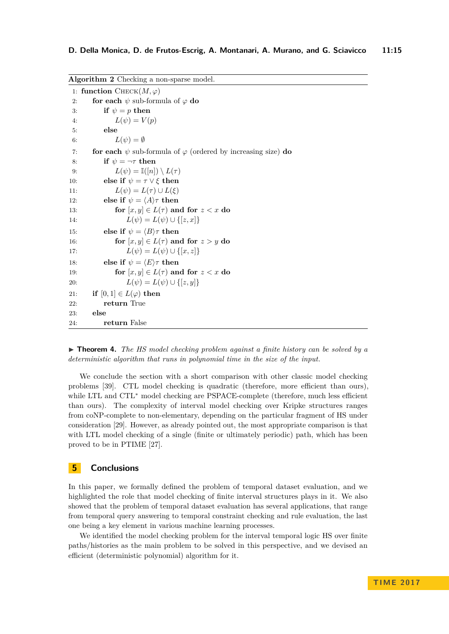<span id="page-14-0"></span>

| Algorithm 2 Checking a non-sparse model. |                                                                          |  |
|------------------------------------------|--------------------------------------------------------------------------|--|
| 1: function CHECK $(M, \varphi)$         |                                                                          |  |
| 2:                                       | for each $\psi$ sub-formula of $\varphi$ do                              |  |
| 3:                                       | if $\psi = p$ then                                                       |  |
| 4:                                       | $L(\psi) = V(p)$                                                         |  |
| 5:                                       | else                                                                     |  |
| 6:                                       | $L(\psi) = \emptyset$                                                    |  |
| 7:                                       | for each $\psi$ sub-formula of $\varphi$ (ordered by increasing size) do |  |
| 8:                                       | if $\psi = \neg \tau$ then                                               |  |
| 9:                                       | $L(\psi) = \mathbb{I}([n]) \setminus L(\tau)$                            |  |
| 10:                                      | else if $\psi = \tau \vee \xi$ then                                      |  |
| 11:                                      | $L(\psi) = L(\tau) \cup L(\xi)$                                          |  |
| 12:                                      | else if $\psi = \langle A \rangle \tau$ then                             |  |
| 13:                                      | for $[x, y] \in L(\tau)$ and for $z < x$ do                              |  |
| 14:                                      | $L(\psi) = L(\psi) \cup \{[z, x]\}\$                                     |  |
| 15:                                      | else if $\psi = \langle B \rangle \tau$ then                             |  |
| 16:                                      | for $[x, y] \in L(\tau)$ and for $z > y$ do                              |  |
| 17:                                      | $L(\psi) = L(\psi) \cup \{ [x, z] \}$                                    |  |
| 18:                                      | else if $\psi = \langle E \rangle \tau$ then                             |  |
| 19:                                      | for $[x, y] \in L(\tau)$ and for $z < x$ do                              |  |
| 20:                                      | $L(\psi) = L(\psi) \cup \{[z, y]\}\$                                     |  |
| 21:                                      | if $[0,1] \in L(\varphi)$ then                                           |  |
| 22:                                      | return True                                                              |  |
| 23:                                      | else                                                                     |  |
| 24:                                      | return False                                                             |  |

▶ **Theorem 4.** *The HS model checking problem against a finite history can be solved by a deterministic algorithm that runs in polynomial time in the size of the input.*

We conclude the section with a short comparison with other classic model checking problems [\[39\]](#page-17-11). CTL model checking is quadratic (therefore, more efficient than ours), while LTL and CTL<sup>∗</sup> model checking are PSPACE-complete (therefore, much less efficient than ours). The complexity of interval model checking over Kripke structures ranges from coNP-complete to non-elementary, depending on the particular fragment of HS under consideration [\[29\]](#page-16-3). However, as already pointed out, the most appropriate comparison is that with LTL model checking of a single (finite or ultimately periodic) path, which has been proved to be in PTIME [\[27\]](#page-16-11).

## **5 Conclusions**

In this paper, we formally defined the problem of temporal dataset evaluation, and we highlighted the role that model checking of finite interval structures plays in it. We also showed that the problem of temporal dataset evaluation has several applications, that range from temporal query answering to temporal constraint checking and rule evaluation, the last one being a key element in various machine learning processes.

We identified the model checking problem for the interval temporal logic HS over finite paths/histories as the main problem to be solved in this perspective, and we devised an efficient (deterministic polynomial) algorithm for it.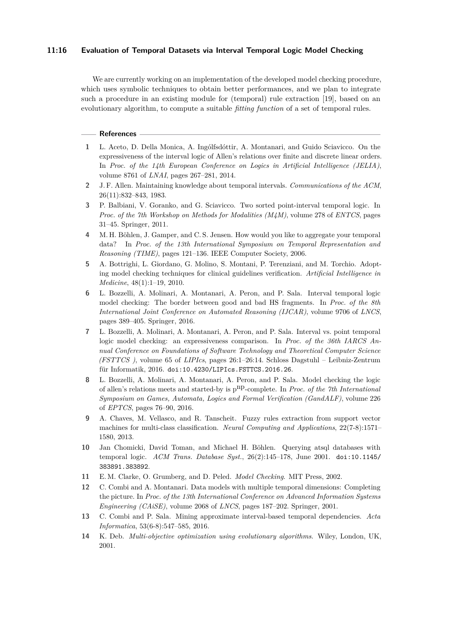## **11:16 Evaluation of Temporal Datasets via Interval Temporal Logic Model Checking**

We are currently working on an implementation of the developed model checking procedure, which uses symbolic techniques to obtain better performances, and we plan to integrate such a procedure in an existing module for (temporal) rule extraction [\[19\]](#page-16-16), based on an evolutionary algorithm, to compute a suitable *fitting function* of a set of temporal rules.

#### **References**

- <span id="page-15-9"></span>**1** L. Aceto, D. Della Monica, A. Ingólfsdóttir, A. Montanari, and Guido Sciavicco. On the expressiveness of the interval logic of Allen's relations over finite and discrete linear orders. In *Proc. of the 14th European Conference on Logics in Artificial Intelligence (JELIA)*, volume 8761 of *LNAI*, pages 267–281, 2014.
- <span id="page-15-4"></span>**2** J. F. Allen. Maintaining knowledge about temporal intervals. *Communications of the ACM*, 26(11):832–843, 1983.
- <span id="page-15-8"></span>**3** P. Balbiani, V. Goranko, and G. Sciavicco. Two sorted point-interval temporal logic. In *Proc. of the 7th Workshop on Methods for Modalities (M4M)*, volume 278 of *ENTCS*, pages 31–45. Springer, 2011.
- <span id="page-15-3"></span>**4** M. H. Böhlen, J. Gamper, and C. S. Jensen. How would you like to aggregate your temporal data? In *Proc. of the 13th International Symposium on Temporal Representation and Reasoning (TIME)*, pages 121–136. IEEE Computer Society, 2006.
- <span id="page-15-2"></span>**5** A. Bottrighi, L. Giordano, G. Molino, S. Montani, P. Terenziani, and M. Torchio. Adopting model checking techniques for clinical guidelines verification. *Artificial Intelligence in Medicine*, 48(1):1–19, 2010.
- <span id="page-15-6"></span>**6** L. Bozzelli, A. Molinari, A. Montanari, A. Peron, and P. Sala. Interval temporal logic model checking: The border between good and bad HS fragments. In *Proc. of the 8th International Joint Conference on Automated Reasoning (IJCAR)*, volume 9706 of *LNCS*, pages 389–405. Springer, 2016.
- <span id="page-15-5"></span>**7** L. Bozzelli, A. Molinari, A. Montanari, A. Peron, and P. Sala. Interval vs. point temporal logic model checking: an expressiveness comparison. In *Proc. of the 36th IARCS Annual Conference on Foundations of Software Technology and Theoretical Computer Science (FSTTCS )*, volume 65 of *LIPIcs*, pages 26:1–26:14. Schloss Dagstuhl – Leibniz-Zentrum für Informatik, 2016. [doi:10.4230/LIPIcs.FSTTCS.2016.26](http://dx.doi.org/10.4230/LIPIcs.FSTTCS.2016.26).
- <span id="page-15-7"></span>**8** L. Bozzelli, A. Molinari, A. Montanari, A. Peron, and P. Sala. Model checking the logic of allen's relations meets and started-by is pnp-complete. In *Proc. of the 7th International Symposium on Games, Automata, Logics and Formal Verification (GandALF)*, volume 226 of *EPTCS*, pages 76–90, 2016.
- <span id="page-15-12"></span>**9** A. Chaves, M. Vellasco, and R. Tanscheit. Fuzzy rules extraction from support vector machines for multi-class classification. *Neural Computing and Applications*, 22(7-8):1571– 1580, 2013.
- <span id="page-15-10"></span>**10** Jan Chomicki, David Toman, and Michael H. Böhlen. Querying atsql databases with temporal logic. *ACM Trans. Database Syst.*, 26(2):145–178, June 2001. [doi:10.1145/](http://dx.doi.org/10.1145/383891.383892) [383891.383892](http://dx.doi.org/10.1145/383891.383892).
- <span id="page-15-1"></span>**11** E. M. Clarke, O. Grumberg, and D. Peled. *Model Checking*. MIT Press, 2002.
- <span id="page-15-0"></span>**12** C. Combi and A. Montanari. Data models with multiple temporal dimensions: Completing the picture. In *Proc. of the 13th International Conference on Advanced Information Systems Engineering (CAiSE)*, volume 2068 of *LNCS*, pages 187–202. Springer, 2001.
- <span id="page-15-11"></span>**13** C. Combi and P. Sala. Mining approximate interval-based temporal dependencies. *Acta Informatica*, 53(6-8):547–585, 2016.
- <span id="page-15-13"></span>**14** K. Deb. *Multi-objective optimization using evolutionary algorithms*. Wiley, London, UK, 2001.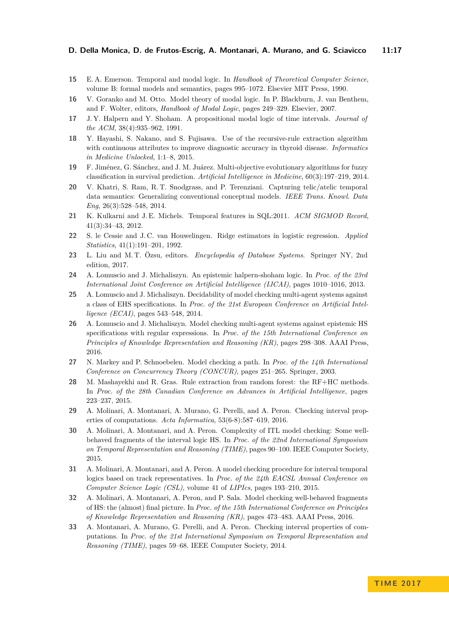- <span id="page-16-17"></span>**15** E. A. Emerson. Temporal and modal logic. In *Handbook of Theoretical Computer Science*, volume B: formal models and semantics, pages 995–1072. Elsevier MIT Press, 1990.
- <span id="page-16-18"></span>**16** V. Goranko and M. Otto. Model theory of modal logic. In P. Blackburn, J. van Benthem, and F. Wolter, editors, *Handbook of Modal Logic*, pages 249–329. Elsevier, 2007.
- <span id="page-16-2"></span>**17** J. Y. Halpern and Y. Shoham. A propositional modal logic of time intervals. *Journal of the ACM*, 38(4):935–962, 1991.
- <span id="page-16-14"></span>**18** Y. Hayashi, S. Nakano, and S. Fujisawa. Use of the recursive-rule extraction algorithm with continuous attributes to improve diagnostic accuracy in thyroid disease. *Informatics in Medicine Unlocked*, 1:1–8, 2015.
- <span id="page-16-16"></span>**19** F. Jiménez, G. Sánchez, and J. M. Juárez. Multi-objective evolutionary algorithms for fuzzy classification in survival prediction. *Artificial Intelligence in Medicine*, 60(3):197–219, 2014.
- <span id="page-16-1"></span>**20** V. Khatri, S. Ram, R. T. Snodgrass, and P. Terenziani. Capturing telic/atelic temporal data semantics: Generalizing conventional conceptual models. *IEEE Trans. Knowl. Data Eng*, 26(3):528–548, 2014.
- <span id="page-16-0"></span>**21** K. Kulkarni and J. E. Michels. Temporal features in SQL:2011. *ACM SIGMOD Record*, 41(3):34–43, 2012.
- <span id="page-16-13"></span>**22** S. le Cessie and J. C. van Houwelingen. Ridge estimators in logistic regression. *Applied Statistics*, 41(1):191–201, 1992.
- <span id="page-16-12"></span>**23** L. Liu and M. T. Özsu, editors. *Encyclopedia of Database Systems*. Springer NY, 2nd edition, 2017.
- <span id="page-16-8"></span>**24** A. Lomuscio and J. Michaliszyn. An epistemic halpern-shoham logic. In *Proc. of the 23rd International Joint Conference on Artificial Intelligence (IJCAI)*, pages 1010–1016, 2013.
- <span id="page-16-9"></span>**25** A. Lomuscio and J. Michaliszyn. Decidability of model checking multi-agent systems against a class of EHS specifications. In *Proc. of the 21st European Conference on Artificial Intelligence (ECAI)*, pages 543–548, 2014.
- <span id="page-16-10"></span>**26** A. Lomuscio and J. Michaliszyn. Model checking multi-agent systems against epistemic HS specifications with regular expressions. In *Proc. of the 15th International Conference on Principles of Knowledge Representation and Reasoning (KR)*, pages 298–308. AAAI Press, 2016.
- <span id="page-16-11"></span>**27** N. Markey and P. Schnoebelen. Model checking a path. In *Proc. of the 14th International Conference on Concurrency Theory (CONCUR)*, pages 251–265. Springer, 2003.
- <span id="page-16-15"></span>28 M. Mashayekhi and R. Gras. Rule extraction from random forest: the RF+HC methods. In *Proc. of the 28th Canadian Conference on Advances in Artificial Intelligence*, pages 223–237, 2015.
- <span id="page-16-3"></span>**29** A. Molinari, A. Montanari, A. Murano, G. Perelli, and A. Peron. Checking interval properties of computations. *Acta Informatica*, 53(6-8):587–619, 2016.
- <span id="page-16-5"></span>**30** A. Molinari, A. Montanari, and A. Peron. Complexity of ITL model checking: Some wellbehaved fragments of the interval logic HS. In *Proc. of the 22nd International Symposium on Temporal Representation and Reasoning (TIME)*, pages 90–100. IEEE Computer Society, 2015.
- <span id="page-16-6"></span>**31** A. Molinari, A. Montanari, and A. Peron. A model checking procedure for interval temporal logics based on track representatives. In *Proc. of the 24th EACSL Annual Conference on Computer Science Logic (CSL)*, volume 41 of *LIPIcs*, pages 193–210, 2015.
- <span id="page-16-7"></span>**32** A. Molinari, A. Montanari, A. Peron, and P. Sala. Model checking well-behaved fragments of HS: the (almost) final picture. In *Proc. of the 15th International Conference on Principles of Knowledge Representation and Reasoning (KR)*, pages 473–483. AAAI Press, 2016.
- <span id="page-16-4"></span>**33** A. Montanari, A. Murano, G. Perelli, and A. Peron. Checking interval properties of computations. In *Proc. of the 21st International Symposium on Temporal Representation and Reasoning (TIME)*, pages 59–68. IEEE Computer Society, 2014.